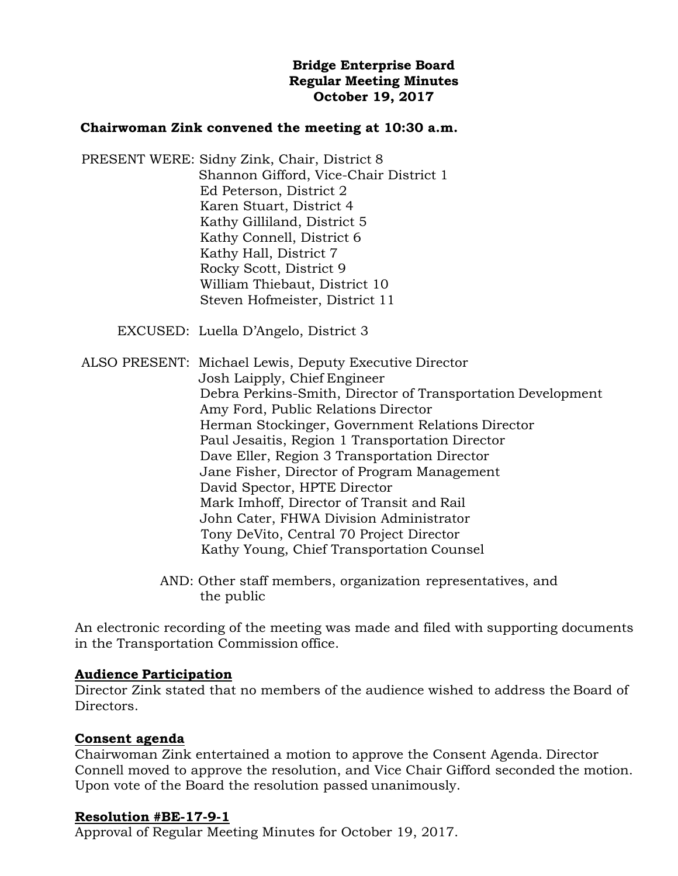# **Bridge Enterprise Board Regular Meeting Minutes October 19, 2017**

### **Chairwoman Zink convened the meeting at 10:30 a.m.**

PRESENT WERE: Sidny Zink, Chair, District 8 Shannon Gifford, Vice-Chair District 1 Ed Peterson, District 2 Karen Stuart, District 4 Kathy Gilliland, District 5 Kathy Connell, District 6 Kathy Hall, District 7 Rocky Scott, District 9 William Thiebaut, District 10 Steven Hofmeister, District 11

EXCUSED: Luella D'Angelo, District 3

ALSO PRESENT: Michael Lewis, Deputy Executive Director Josh Laipply, Chief Engineer Debra Perkins-Smith, Director of Transportation Development Amy Ford, Public Relations Director Herman Stockinger, Government Relations Director Paul Jesaitis, Region 1 Transportation Director Dave Eller, Region 3 Transportation Director Jane Fisher, Director of Program Management David Spector, HPTE Director Mark Imhoff, Director of Transit and Rail John Cater, FHWA Division Administrator Tony DeVito, Central 70 Project Director Kathy Young, Chief Transportation Counsel

> AND: Other staff members, organization representatives, and the public

An electronic recording of the meeting was made and filed with supporting documents in the Transportation Commission office.

#### **Audience Participation**

Director Zink stated that no members of the audience wished to address the Board of Directors.

# **Consent agenda**

Chairwoman Zink entertained a motion to approve the Consent Agenda. Director Connell moved to approve the resolution, and Vice Chair Gifford seconded the motion. Upon vote of the Board the resolution passed unanimously.

#### **Resolution #BE-17-9-1**

Approval of Regular Meeting Minutes for October 19, 2017.